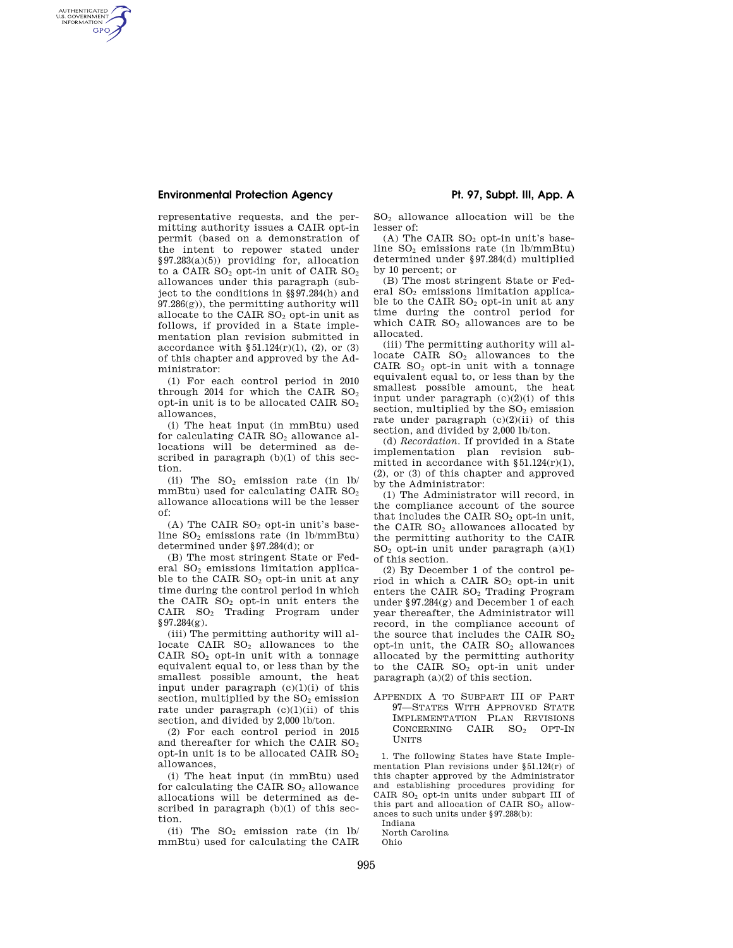### **Environmental Protection Agency Pt. 97, Subpt. III, App. A**

AUTHENTICATED<br>U.S. GOVERNMENT<br>INFORMATION **GPO** 

> representative requests, and the permitting authority issues a CAIR opt-in permit (based on a demonstration of the intent to repower stated under §97.283(a)(5)) providing for, allocation to a CAIR  $SO<sub>2</sub>$  opt-in unit of CAIR  $SO<sub>2</sub>$ allowances under this paragraph (subject to the conditions in §§97.284(h) and  $97.286(g)$ , the permitting authority will allocate to the CAIR  $SO<sub>2</sub>$  opt-in unit as follows, if provided in a State implementation plan revision submitted in accordance with  $\S 51.124(r)(1)$ , (2), or (3) of this chapter and approved by the Administrator:

> (1) For each control period in 2010 through 2014 for which the CAIR  $SO<sub>2</sub>$ opt-in unit is to be allocated CAIR  $SO<sub>2</sub>$ allowances,

> (i) The heat input (in mmBtu) used for calculating CAIR SO<sub>2</sub> allowance allocations will be determined as described in paragraph  $(b)(1)$  of this section.

> (ii) The  $SO_2$  emission rate (in lb/ mmBtu) used for calculating CAIR  $SO<sub>2</sub>$ allowance allocations will be the lesser of:

> (A) The CAIR  $SO<sub>2</sub>$  opt-in unit's baseline  $SO<sub>2</sub>$  emissions rate (in lb/mmBtu) determined under §97.284(d); or

> (B) The most stringent State or Federal  $SO<sub>2</sub>$  emissions limitation applicable to the CAIR SO<sub>2</sub> opt-in unit at any time during the control period in which the CAIR  $SO<sub>2</sub>$  opt-in unit enters the CAIR SO<sup>2</sup> Trading Program under  $§97.284(g).$

> (iii) The permitting authority will allocate CAIR  $SO<sub>2</sub>$  allowances to the CAIR  $SO<sub>2</sub>$  opt-in unit with a tonnage equivalent equal to, or less than by the smallest possible amount, the heat input under paragraph  $(c)(1)(i)$  of this section, multiplied by the  $SO<sub>2</sub>$  emission rate under paragraph  $(c)(1)(ii)$  of this section, and divided by 2,000 lb/ton.

> (2) For each control period in 2015 and thereafter for which the CAIR  $SO<sub>2</sub>$ opt-in unit is to be allocated CAIR  $SO<sub>2</sub>$ allowances,

> (i) The heat input (in mmBtu) used for calculating the CAIR  $SO<sub>2</sub>$  allowance allocations will be determined as described in paragraph (b)(1) of this section.

> (ii) The  $SO<sub>2</sub>$  emission rate (in lb/ mmBtu) used for calculating the CAIR

SO<sup>2</sup> allowance allocation will be the lesser of:

(A) The CAIR  $SO<sub>2</sub>$  opt-in unit's baseline SO<sup>2</sup> emissions rate (in lb/mmBtu) determined under §97.284(d) multiplied by 10 percent; or

(B) The most stringent State or Federal  $SO<sub>2</sub>$  emissions limitation applicable to the CAIR SO<sub>2</sub> opt-in unit at any time during the control period for which CAIR  $SO<sub>2</sub>$  allowances are to be allocated.

(iii) The permitting authority will allocate CAIR SO<sub>2</sub> allowances to the CAIR  $SO<sub>2</sub>$  opt-in unit with a tonnage equivalent equal to, or less than by the smallest possible amount, the heat input under paragraph  $(c)(2)(i)$  of this section, multiplied by the  $SO<sub>2</sub>$  emission rate under paragraph  $(c)(2)(ii)$  of this section, and divided by 2,000 lb/ton.

(d) *Recordation.* If provided in a State implementation plan revision submitted in accordance with  $§51.124(r)(1),$ (2), or (3) of this chapter and approved by the Administrator:

(1) The Administrator will record, in the compliance account of the source that includes the CAIR  $SO<sub>2</sub>$  opt-in unit, the CAIR  $SO<sub>2</sub>$  allowances allocated by the permitting authority to the CAIR  $SO<sub>2</sub>$  opt-in unit under paragraph  $(a)(1)$ of this section.

(2) By December 1 of the control period in which a CAIR  $SO<sub>2</sub>$  opt-in unit enters the CAIR SO<sub>2</sub> Trading Program under §97.284(g) and December 1 of each year thereafter, the Administrator will record, in the compliance account of the source that includes the CAIR  $SO<sub>2</sub>$ opt-in unit, the CAIR  $SO<sub>2</sub>$  allowances allocated by the permitting authority to the CAIR  $SO<sub>2</sub>$  opt-in unit under paragraph (a)(2) of this section.

APPENDIX A TO SUBPART III OF PART 97—STATES WITH APPROVED STATE IMPLEMENTATION PLAN REVISIONS CONCERNING CAIR SO<sub>2</sub> OPT-IN UNITS

1. The following States have State Implementation Plan revisions under §51.124(r) of this chapter approved by the Administrator and establishing procedures providing for CAIR SO<sup>2</sup> opt-in units under subpart III of this part and allocation of CAIR  $SO<sub>2</sub>$  allowances to such units under §97.288(b):

Indiana

North Carolina Ohio